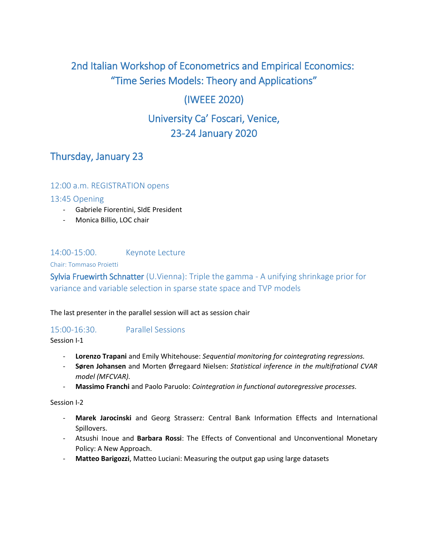# 2nd Italian Workshop of Econometrics and Empirical Economics: "Time Series Models: Theory and Applications"

## (IWEEE 2020)

# University Ca' Foscari, Venice, 23-24 January 2020

## Thursday, January 23

## 12:00 a.m. REGISTRATION opens

#### 13:45 Opening

- Gabriele Fiorentini, SIdE President
- Monica Billio, LOC chair

## 14:00-15:00. Keynote Lecture

#### Chair: Tommaso Proietti

Sylvia Fruewirth Schnatter (U.Vienna): Triple the gamma - A unifying shrinkage prior for variance and variable selection in sparse state space and TVP models

#### The last presenter in the parallel session will act as session chair

#### 15:00-16:30. Parallel Sessions

Session I-1

- **Lorenzo Trapani** and Emily Whitehouse: *Sequential monitoring for cointegrating regressions.*
- **Søren Johansen** and Morten Ørregaard Nielsen: *Statistical inference in the multifrational CVAR model (MFCVAR).*
- **Massimo Franchi** and Paolo Paruolo: *Cointegration in functional autoregressive processes.*

Session I-2

- **Marek Jarocinski** and Georg Strasserz: Central Bank Information Effects and International Spillovers.
- Atsushi Inoue and **Barbara Rossi**: The Effects of Conventional and Unconventional Monetary Policy: A New Approach.
- Matteo Barigozzi, Matteo Luciani: Measuring the output gap using large datasets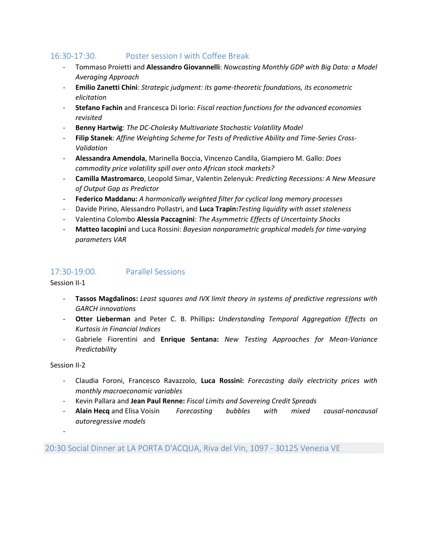## 16:30-17:30. Poster session I with Coffee Break

- Tommaso Proietti and **Alessandro Giovannelli**: *Nowcasting Monthly GDP with Big Data: a Model Averaging Approach*
- **Emilio Zanetti Chini**: *Strategic judgment: its game-theoretic foundations, its econometric elicitation*
- **Stefano Fachin** and Francesca Di Iorio: *Fiscal reaction functions for the advanced economies revisited*
- **Benny Hartwig**: *The DC-Cholesky Multivariate Stochastic Volatility Model*
- Filip Stanek: Affine Weighting Scheme for Tests of Predictive Ability and Time-Series Cross-*Validation*
- **Alessandra Amendola**, Marinella Boccia, Vincenzo Candila, Giampiero M. Gallo: *Does commodity price volatility spill over onto African stock markets?*
- **Camilla Mastromarco**, Leopold Simar, Valentin Zelenyuk: *Predicting Recessions: A New Measure of Output Gap as Predictor*
- **Federico Maddanu:** *A harmonically weighted filter for cyclical long memory processes*
- Davide Pirino, Alessandro Pollastri, and **Luca Trapin:***Testing liquidity with asset staleness*
- Valentina Colombo **Alessia Paccagnini**: *The Asymmetric Effects of Uncertainty Shocks*
- **Matteo Iacopini** and Luca Rossini: *Bayesian nonparametric graphical models for time-varying parameters VAR*

#### 17:30-19:00. Parallel Sessions

Session II-1

- **Tassos Magdalinos:** *Least squares and IVX limit theory in systems of predictive regressions with GARCH innovations*
- **Otter Lieberman** and Peter C. B. Phillips**:** *Understanding Temporal Aggregation Effects on Kurtosis in Financial Indices*
- Gabriele Fiorentini and **Enrique Sentana:** *New Testing Approaches for Mean-Variance Predictability*

#### Session II-2

- Claudia Foroni, Francesco Ravazzolo, **Luca Rossini:** *Forecasting daily electricity prices with monthly macroeconomic variables*
- Kevin Pallara and **Jean Paul Renne:** *Fiscal Limits and Sovereing Credit Spreads*
- **Alain Hecq** and Elisa Voisin *Forecasting bubbles with mixed causal-noncausal autoregressive models*

-

20:30 Social Dinner at LA PORTA D'ACQUA, Riva del Vin, 1097 - 30125 Venezia VE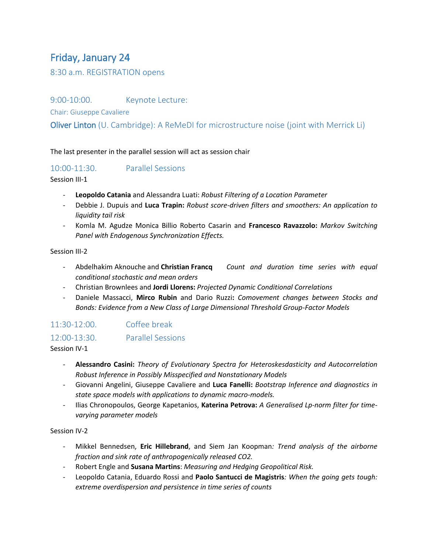# Friday, January 24

8:30 a.m. REGISTRATION opens

9:00-10:00. Keynote Lecture:

Chair: Giuseppe Cavaliere

Oliver Linton (U. Cambridge): A ReMeDI for microstructure noise (joint with Merrick Li)

The last presenter in the parallel session will act as session chair

#### 10:00-11:30. Parallel Sessions

Session III-1

- **Leopoldo Catania** and Alessandra Luati: *Robust Filtering of a Location Parameter*
- Debbie J. Dupuis and **Luca Trapin:** *Robust score-driven filters and smoothers: An application to liquidity tail risk*
- Komla M. Agudze Monica Billio Roberto Casarin and **Francesco Ravazzolo:** *Markov Switching Panel with Endogenous Synchronization Effects.*

Session III-2

- Abdelhakim Aknouche and **Christian Francq** *Count and duration time series with equal conditional stochastic and mean orders*
- Christian Brownlees and **Jordi Llorens:** *Projected Dynamic Conditional Correlations*
- Daniele Massacci, **Mirco Rubin** and Dario Ruzzi**:** *Comovement changes between Stocks and Bonds: Evidence from a New Class of Large Dimensional Threshold Group-Factor Models*

## 11:30-12:00. Coffee break

## 12:00-13:30. Parallel Sessions

Session IV-1

- **Alessandro Casini:** *Theory of Evolutionary Spectra for Heteroskesdasticity and Autocorrelation Robust Inference in Possibly Misspecified and Nonstationary Models*
- Giovanni Angelini, Giuseppe Cavaliere and **Luca Fanelli:** *Bootstrap Inference and diagnostics in state space models with applications to dynamic macro-models.*
- Ilias Chronopoulos, George Kapetanios, **Katerina Petrova:** *A Generalised Lp-norm filter for timevarying parameter models*

Session IV-2

- Mikkel Bennedsen, **Eric Hillebrand**, and Siem Jan Koopman*: Trend analysis of the airborne fraction and sink rate of anthropogenically released CO2.*
- Robert Engle and **Susana Martins**: *Measuring and Hedging Geopolitical Risk.*
- Leopoldo Catania, Eduardo Rossi and **Paolo Santucci de Magistris***: When the going gets tough: extreme overdispersion and persistence in time series of counts*